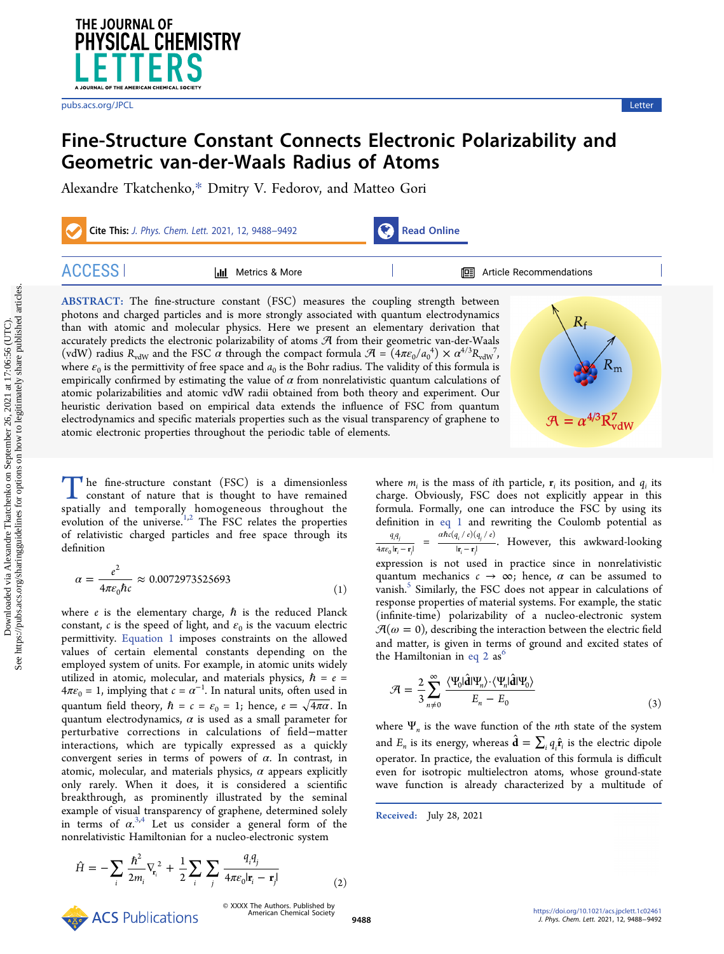<span id="page-0-0"></span>

[pubs.acs.org/JPCL](pubs.acs.org/JPCL?ref=pdf) Letter and the control of the control of the control of the control of the control of the control of the control of the control of the control of the control of the control of the control of the control o

# Fine-Structure Constant Connects Electronic Polarizability and Geometric van-der-Waals Radius of Atoms

[Alexandre Tkatchenko,](https://pubs.acs.org/action/doSearch?field1=Contrib&text1="Alexandre+Tkatchenko"&field2=AllField&text2=&publication=&accessType=allContent&Earliest=&ref=pdf)[\\*](#page-3-0) [Dmitry V. Fedorov,](https://pubs.acs.org/action/doSearch?field1=Contrib&text1="Dmitry+V.+Fedorov"&field2=AllField&text2=&publication=&accessType=allContent&Earliest=&ref=pdf) [and Matteo Gori](https://pubs.acs.org/action/doSearch?field1=Contrib&text1="Matteo+Gori"&field2=AllField&text2=&publication=&accessType=allContent&Earliest=&ref=pdf)

| Cite This: J. Phys. Chem. Lett. 2021, 12, 9488-9492 |                           | Read Online |                                   |
|-----------------------------------------------------|---------------------------|-------------|-----------------------------------|
| <b>ACCESS</b>                                       | Metrics & More<br>l dal - |             | <b>EE</b> Article Recommendations |

ABSTRACT: The fine-structure constant (FSC) measures the coupling strength between photons and charged particles and is more strongly associated with quantum electrodynamics than with atomic and molecular physics. Here we present an elementary derivation that accurately predicts the electronic polarizability of atoms  $\mathcal A$  from their geometric van-der-Waals (vdW) radius  $R_{vdW}$  and the FSC  $\alpha$  through the compact formula  $\mathcal{A} = (4\pi\epsilon_0/a_0^4) \times \alpha^{4/3} R_{vdW}^7$ , where  $\varepsilon_0$  is the permittivity of free space and  $a_0$  is the Bohr radius. The validity of this formula is empirically confirmed by estimating the value of  $\alpha$  from nonrelativistic quantum calculations of atomic polarizabilities and atomic vdW radii obtained from both theory and experiment. Our heuristic derivation based on empirical data extends the influence of FSC from quantum electrodynamics and specific materials properties such as the visual transparency of graphene to atomic electronic properties throughout the periodic table of elements.



The fine-structure constant (FSC) is a dimensionless constant of nature that is thought to have remained spatially and temporally homogeneous throughout the evolution of the universe.<sup>[1](#page-3-0),[2](#page-3-0)</sup> The FSC relates the properties of relativistic charged particles and free space through its definition

$$
\alpha = \frac{e^2}{4\pi\epsilon_0 \hbar c} \approx 0.0072973525693\tag{1}
$$

where  $e$  is the elementary charge,  $\hbar$  is the reduced Planck constant, c is the speed of light, and  $\varepsilon_0$  is the vacuum electric permittivity. Equation 1 imposes constraints on the allowed values of certain elemental constants depending on the employed system of units. For example, in atomic units widely utilized in atomic, molecular, and materials physics,  $\hbar = e$  =  $4\pi\varepsilon_0 = 1$ , implying that  $c = \alpha^{-1}$ . In natural units, often used in quantum field theory,  $\hbar = c = \varepsilon_0 = 1$ ; hence,  $e = \sqrt{4\pi\alpha}$ . In quantum electrodynamics,  $\alpha$  is used as a small parameter for perturbative corrections in calculations of field−matter interactions, which are typically expressed as a quickly convergent series in terms of powers of  $\alpha$ . In contrast, in atomic, molecular, and materials physics,  $\alpha$  appears explicitly only rarely. When it does, it is considered a scientific breakthrough, as prominently illustrated by the seminal example of visual transparency of graphene, determined solely in terms of  $\alpha^{3,4}$  $\alpha^{3,4}$  $\alpha^{3,4}$  Let us consider a general form of the nonrelativistic Hamiltonian for a nucleo-electronic system

$$
\hat{H} = -\sum_{i} \frac{\hbar^2}{2m_i} \nabla_{\mathbf{r}_i}^2 + \frac{1}{2} \sum_{i} \sum_{j} \frac{q_i q_j}{4\pi \varepsilon_0 |\mathbf{r}_i - \mathbf{r}_j|}
$$
(2)

where  $m_i$  is the mass of ith particle,  $\mathbf{r}_i$  its position, and  $q_i$  its charge. Obviously, FSC does not explicitly appear in this formula. Formally, one can introduce the FSC by using its definition in eq 1 and rewriting the Coulomb potential as *q q*  $4\pi\varepsilon_0$   $|\mathbf{r}_i - \mathbf{r}_i|$  $rac{q_i q_j}{\pi \varepsilon_0 |\mathbf{r}_i - \mathbf{r}_j|}$  =  $rac{\alpha \hbar c (q_i / e) (q_j / e_j)}{|\mathbf{r}_i - \mathbf{r}_j|}$  $(q_i / e)(q_j / e)$ *i j*  $\frac{\alpha \hbar c(q_i / e)(q_j / e)}{|r_i - r_j|}$ . However, this awkward-looking expression is not used in practice since in nonrelativistic quantum mechanics  $c \rightarrow \infty$ ; hence,  $\alpha$  can be assumed to vanish.<sup>[5](#page-3-0)</sup> Similarly, the FSC does not appear in calculations of response properties of material systems. For example, the static (infinite-time) polarizability of a nucleo-electronic system  $\mathcal{A}(\omega=0)$ , describing the interaction between the electric field and matter, is given in terms of ground and excited states of the Hamiltonian in eq 2 as

$$
\mathcal{A} = \frac{2}{3} \sum_{n \neq 0}^{\infty} \frac{\langle \Psi_0 | \hat{\mathbf{d}} | \Psi_n \rangle \cdot \langle \Psi_n | \hat{\mathbf{d}} | \Psi_0 \rangle}{E_n - E_0}
$$
(3)

where  $\Psi_n$  is the wave function of the *n*th state of the system and  $E_n$  is its energy, whereas  $\hat{\mathbf{d}} = \sum_i q_i \hat{\mathbf{r}}_i$  is the electric dipole operator. In practice, the evaluation of this formula is difficult even for isotropic multielectron atoms, whose ground-state wave function is already characterized by a multitude of

Received: July 28, 2021

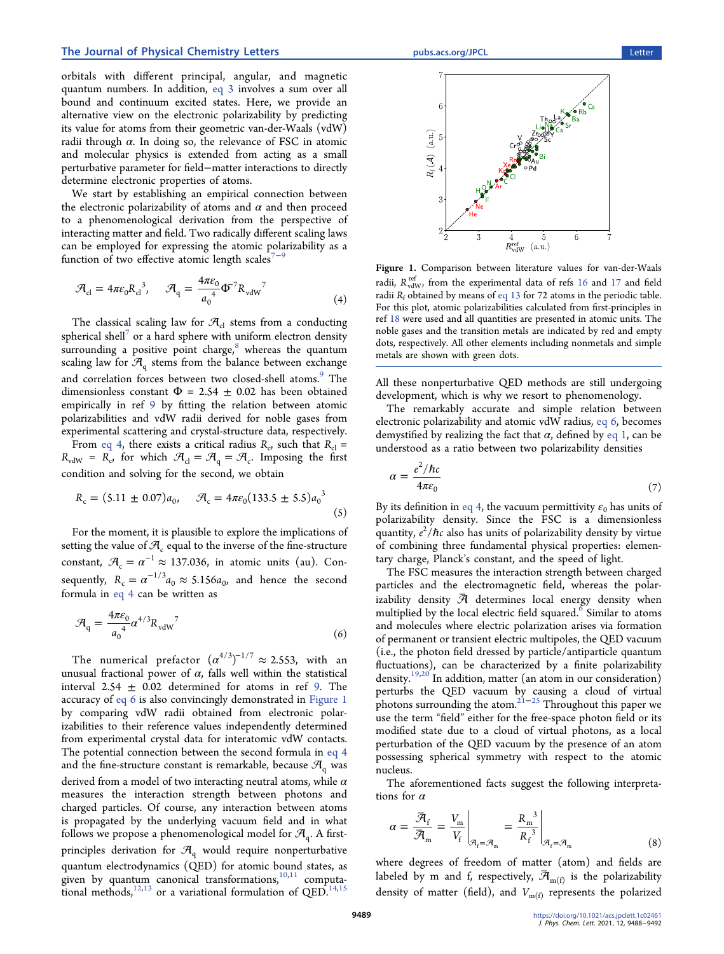<span id="page-1-0"></span>orbitals with different principal, angular, and magnetic quantum numbers. In addition, [eq 3](#page-0-0) involves a sum over all bound and continuum excited states. Here, we provide an alternative view on the electronic polarizability by predicting its value for atoms from their geometric van-der-Waals (vdW) radii through  $α$ . In doing so, the relevance of FSC in atomic and molecular physics is extended from acting as a small perturbative parameter for field−matter interactions to directly determine electronic properties of atoms.

We start by establishing an empirical connection between the electronic polarizability of atoms and  $\alpha$  and then proceed to a phenomenological derivation from the perspective of interacting matter and field. Two radically different scaling laws can be employed for expressing the atomic polarizability as a function of two effective atomic length scales<sup>[7](#page-3-0)-[9](#page-3-0)</sup>

$$
\mathcal{A}_{\rm cl} = 4\pi\varepsilon_0 R_{\rm cl}^{3}, \quad \mathcal{A}_{\rm q} = \frac{4\pi\varepsilon_0}{a_0^4} \Phi^7 R_{\rm vdW}^7 \tag{4}
$$

The classical scaling law for  $\mathcal{A}_{cl}$  stems from a conducting spherical shell<sup>'</sup> or a hard sphere with uniform electron density surrounding a positive point charge,<sup>[8](#page-3-0)</sup> whereas the quantum scaling law for  $\mathcal{A}_{q}$  stems from the balance between exchange and correlation forces between two closed-shell atoms.<sup>[9](#page-3-0)</sup> The dimensionless constant  $\Phi = 2.54 \pm 0.02$  has been obtained empirically in ref [9](#page-3-0) by fitting the relation between atomic polarizabilities and vdW radii derived for noble gases from experimental scattering and crystal-structure data, respectively.

From eq 4, there exists a critical radius  $R_c$ , such that  $R_{cl}$  =  $R_{vdW} = R_c$ , for which  $\mathcal{A}_d = \mathcal{A}_q = \mathcal{A}_c$ . Imposing the first condition and solving for the second, we obtain

$$
R_c = (5.11 \pm 0.07)a_0, \quad \mathcal{A}_c = 4\pi\varepsilon_0 (133.5 \pm 5.5)a_0^3
$$
 (5)

For the moment, it is plausible to explore the implications of setting the value of  $\mathcal{A}_c$  equal to the inverse of the fine-structure constant,  $\mathcal{A}_{c} = \alpha^{-1} \approx 137.036$ , in atomic units (au). Consequently,  $R_c = \alpha^{-1/3} a_0 \approx 5.156 a_0$ , and hence the second formula in eq 4 can be written as

$$
\mathcal{A}_{\rm q} = \frac{4\pi\epsilon_0}{a_0^4} \alpha^{4/3} R_{\rm vdW}^7 \tag{6}
$$

The numerical prefactor  $(\alpha^{4/3})^{-1/7} \approx 2.553$ , with an unusual fractional power of  $\alpha$ , falls well within the statistical interval  $2.54 \pm 0.02$  determined for atoms in ref [9](#page-3-0). The accuracy of eq 6 is also convincingly demonstrated in Figure 1 by comparing vdW radii obtained from electronic polarizabilities to their reference values independently determined from experimental crystal data for interatomic vdW contacts. The potential connection between the second formula in eq 4 and the fine-structure constant is remarkable, because  $\mathcal{A}_{q}$  was derived from a model of two interacting neutral atoms, while  $\alpha$ measures the interaction strength between photons and charged particles. Of course, any interaction between atoms is propagated by the underlying vacuum field and in what follows we propose a phenomenological model for  $\mathcal{A}_{q}$ . A firstprinciples derivation for  $\mathcal{A}_q$  would require nonperturbative quantum electrodynamics (QED) for atomic bound states, as given by quantum canonical transformations, $10,11$  $10,11$  $10,11$  computational methods, $12,13$  or a variational formulation of QED. $14,15$ 



Figure 1. Comparison between literature values for van-der-Waals radii,  $R_{\text{vdW}}^{\text{ref}}$ , from the experimental data of refs [16](#page-3-0) and [17](#page-3-0) and field radii  $R_f$  obtained by means of [eq 13](#page-2-0) for 72 atoms in the periodic table. For this plot, atomic polarizabilities calculated from first-principles in ref [18](#page-4-0) were used and all quantities are presented in atomic units. The noble gases and the transition metals are indicated by red and empty dots, respectively. All other elements including nonmetals and simple metals are shown with green dots.

All these nonperturbative QED methods are still undergoing development, which is why we resort to phenomenology.

The remarkably accurate and simple relation between electronic polarizability and atomic vdW radius, eq 6, becomes demystified by realizing the fact that  $\alpha$ , defined by [eq 1](#page-0-0), can be understood as a ratio between two polarizability densities

$$
\alpha = \frac{e^2/\hbar c}{4\pi\varepsilon_0} \tag{7}
$$

By its definition in eq 4, the vacuum permittivity  $\varepsilon_0$  has units of polarizability density. Since the FSC is a dimensionless quantity,  $e^2/\hbar c$  also has units of polarizability density by virtue of combining three fundamental physical properties: elementary charge, Planck's constant, and the speed of light.

The FSC measures the interaction strength between charged particles and the electromagnetic field, whereas the polarizability density  $\bar{\mathcal{A}}$  determines local energy density when multiplied by the local electric field squared.<sup>[6](#page-3-0)</sup> Similar to atoms and molecules where electric polarization arises via formation of permanent or transient electric multipoles, the QED vacuum (i.e., the photon field dressed by particle/antiparticle quantum fluctuations), can be characterized by a finite polarizability density.[19,20](#page-4-0) In addition, matter (an atom in our consideration) perturbs the QED vacuum by causing a cloud of virtual photons surrounding the atom.[21](#page-4-0)−[25](#page-4-0) Throughout this paper we use the term "field" either for the free-space photon field or its modified state due to a cloud of virtual photons, as a local perturbation of the QED vacuum by the presence of an atom possessing spherical symmetry with respect to the atomic nucleus.

The aforementioned facts suggest the following interpretations for  $\alpha$ 

$$
\alpha = \frac{\overline{\mathcal{A}}_f}{\overline{\mathcal{A}}_m} = \frac{V_m}{V_f} \Big|_{\mathcal{A}_f = \mathcal{A}_m} = \frac{R_m^3}{R_f^3} \Big|_{\mathcal{A}_f = \mathcal{A}_m}
$$
(8)

where degrees of freedom of matter (atom) and fields are labeled by m and f, respectively,  $\bar{\mathcal{A}}_{m(f)}$  is the polarizability density of matter (field), and  $V_{m(f)}$  represents the polarized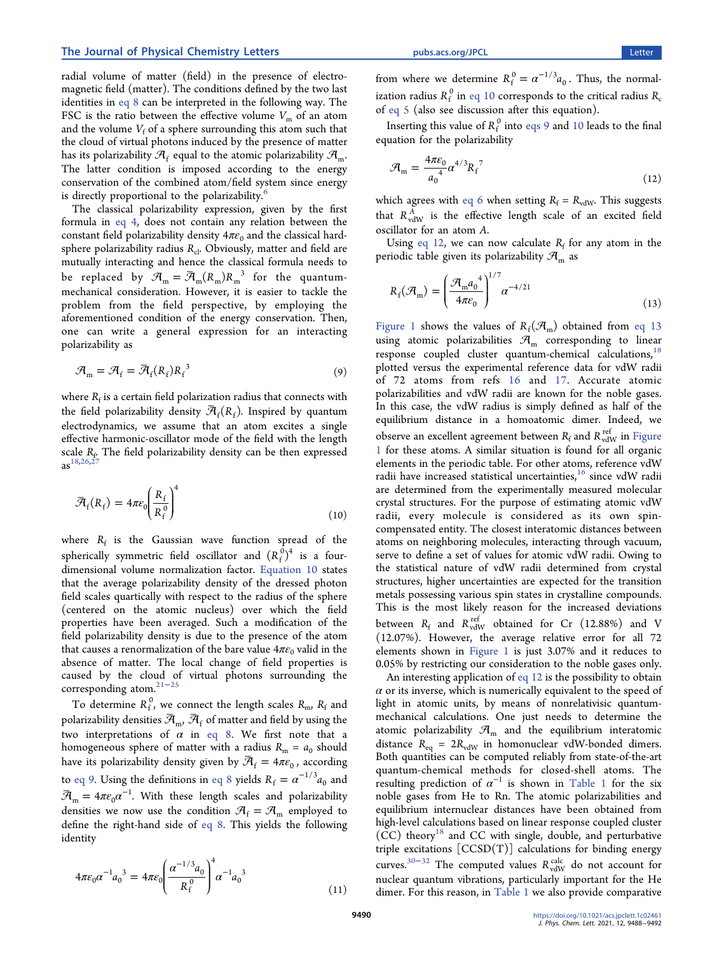<span id="page-2-0"></span>radial volume of matter (field) in the presence of electromagnetic field (matter). The conditions defined by the two last identities in [eq 8](#page-1-0) can be interpreted in the following way. The FSC is the ratio between the effective volume  $V_m$  of an atom and the volume  $V_f$  of a sphere surrounding this atom such that the cloud of virtual photons induced by the presence of matter has its polarizability  $\mathcal{A}_f$  equal to the atomic polarizability  $\mathcal{A}_{m}$ . The latter condition is imposed according to the energy conservation of the combined atom/field system since energy is directly proportional to the polarizability.<sup>[6](#page-3-0)</sup>

The classical polarizability expression, given by the first formula in [eq 4,](#page-1-0) does not contain any relation between the constant field polarizability density  $4\pi\epsilon_0$  and the classical hardsphere polarizability radius  $R_{cl}$ . Obviously, matter and field are mutually interacting and hence the classical formula needs to be replaced by  $\mathcal{A}_m = \overline{\mathcal{A}}_m ( R_m) {R_m}^3$  for the quantummechanical consideration. However, it is easier to tackle the problem from the field perspective, by employing the aforementioned condition of the energy conservation. Then, one can write a general expression for an interacting polarizability as

$$
\mathcal{A}_{\mathbf{m}} = \mathcal{A}_{\mathbf{f}} = \bar{\mathcal{A}}_{\mathbf{f}} (\mathbf{R}_{\mathbf{f}}) \mathbf{R}_{\mathbf{f}}^{3}
$$
\n(9)

where  $R_f$  is a certain field polarization radius that connects with the field polarizability density  $\overline{\mathcal{A}}_f(R_f)$ . Inspired by quantum electrodynamics, we assume that an atom excites a single effective harmonic-oscillator mode of the field with the length scale  $R_f$ . The field polarizability density can be then expressed  $as^{18,26,2}$ 

$$
\overline{\mathcal{A}}_f(R_f) = 4\pi\varepsilon_0 \left(\frac{R_f}{R_f^0}\right)^4 \tag{10}
$$

where  $R_f$  is the Gaussian wave function spread of the spherically symmetric field oscillator and  $(R_f^0)^4$  is a fourdimensional volume normalization factor. Equation 10 states that the average polarizability density of the dressed photon field scales quartically with respect to the radius of the sphere (centered on the atomic nucleus) over which the field properties have been averaged. Such a modification of the field polarizability density is due to the presence of the atom that causes a renormalization of the bare value  $4\pi\epsilon_0$  valid in the absence of matter. The local change of field properties is caused by the cloud of virtual photons surrounding the corresponding atom.[21](#page-4-0)<sup>−</sup>[25](#page-4-0)

To determine  $R_f^0$ , we connect the length scales  $R_m$ ,  $R_f$  and polarizability densities  $\mathcal{\bar{A}}_{m}$ ,  $\mathcal{\bar{A}}_{f}$  of matter and field by using the two interpretations of  $\alpha$  in [eq 8](#page-1-0). We first note that a homogeneous sphere of matter with a radius  $R_m = a_0$  should have its polarizability density given by  $\overline{\mathcal{A}}_f = 4\pi \varepsilon_0$ , according to eq 9. Using the definitions in [eq 8](#page-1-0) yields  $R_f = \alpha^{-1/3} a_0$  and  $\overline{\mathcal{A}}_m = 4\pi \varepsilon_0 \alpha^{-1}$ . With these length scales and polarizability densities we now use the condition  $\mathcal{A}_f = \mathcal{A}_m$  employed to define the right-hand side of [eq 8](#page-1-0). This yields the following identity

$$
4\pi\varepsilon_0 \alpha^{-1} a_0^{3} = 4\pi\varepsilon_0 \left(\frac{\alpha^{-1/3} a_0}{R_f^0}\right)^4 \alpha^{-1} a_0^{3}
$$
\n(11)

from where we determine  $R_f^0 = \alpha^{-1/3} a_0^0$ . Thus, the normalization radius  $R_f^0$  in eq 10 corresponds to the critical radius  $R_c$ of [eq 5](#page-1-0) (also see discussion after this equation).

Inserting this value of  $R_f^0$  into eqs 9 and 10 leads to the final equation for the polarizability

$$
\mathcal{A}_{\rm m} = \frac{4\pi\epsilon_0}{a_0^4} \alpha^{4/3} R_f^7 \tag{12}
$$

which agrees with [eq 6](#page-1-0) when setting  $R_f = R_{vdW}$ . This suggests that  $R_{\text{vdW}}^{A}$  is the effective length scale of an excited field oscillator for an atom A.

Using eq 12, we can now calculate  $R_f$  for any atom in the periodic table given its polarizability  $\mathcal{A}_{m}$  as

$$
R_{\rm f}(\mathcal{A}_{\rm m}) = \left(\frac{\mathcal{A}_{\rm m}a_{0}^{4}}{4\pi\epsilon_{0}}\right)^{1/7}\alpha^{-4/21}
$$
\n(13)

[Figure 1](#page-1-0) shows the values of  $R_f$ ( $\mathcal{A}_m$ ) obtained from eq 13 using atomic polarizabilities  $\mathcal{A}_{m}$  corresponding to linear response coupled cluster quantum-chemical calculations,<sup>[18](#page-4-0)</sup> plotted versus the experimental reference data for vdW radii of 72 atoms from refs [16](#page-3-0) and [17](#page-3-0). Accurate atomic polarizabilities and vdW radii are known for the noble gases. In this case, the vdW radius is simply defined as half of the equilibrium distance in a homoatomic dimer. Indeed, we observe an excellent agreement between  $R_{\rm f}$  and  $R_{\rm vdW}^{\rm ref}$  in [Figure](#page-1-0) [1](#page-1-0) for these atoms. A similar situation is found for all organic elements in the periodic table. For other atoms, reference vdW radii have increased statistical uncertainties,  $^{16}$  $^{16}$  $^{16}$  since vdW radii are determined from the experimentally measured molecular crystal structures. For the purpose of estimating atomic vdW radii, every molecule is considered as its own spincompensated entity. The closest interatomic distances between atoms on neighboring molecules, interacting through vacuum, serve to define a set of values for atomic vdW radii. Owing to the statistical nature of vdW radii determined from crystal structures, higher uncertainties are expected for the transition metals possessing various spin states in crystalline compounds. This is the most likely reason for the increased deviations between  $R_f$  and  $R_{vdW}^{ref}$  obtained for Cr (12.88%) and V (12.07%). However, the average relative error for all 72 elements shown in [Figure 1](#page-1-0) is just 3.07% and it reduces to 0.05% by restricting our consideration to the noble gases only.

An interesting application of eq 12 is the possibility to obtain  $\alpha$  or its inverse, which is numerically equivalent to the speed of light in atomic units, by means of nonrelativisic quantummechanical calculations. One just needs to determine the atomic polarizability  $\mathcal{A}_{\rm m}$  and the equilibrium interatomic distance  $R_{eq} = 2R_{vdW}$  in homonuclear vdW-bonded dimers. Both quantities can be computed reliably from state-of-the-art quantum-chemical methods for closed-shell atoms. The resulting prediction of  $\alpha^{-1}$  is shown in [Table 1](#page-3-0) for the six noble gases from He to Rn. The atomic polarizabilities and equilibrium internuclear distances have been obtained from high-level calculations based on linear response coupled cluster  $(CC)$  theory<sup>18</sup> and  $CC$  with single, double, and perturbative triple excitations [CCSD(T)] calculations for binding energy curves.<sup>[30](#page-4-0)–[32](#page-4-0)</sup> The computed values *R*<sup>calc</sup> do not account for nuclear quantum vibrations, particularly important for the He dimer. For this reason, in [Table 1](#page-3-0) we also provide comparative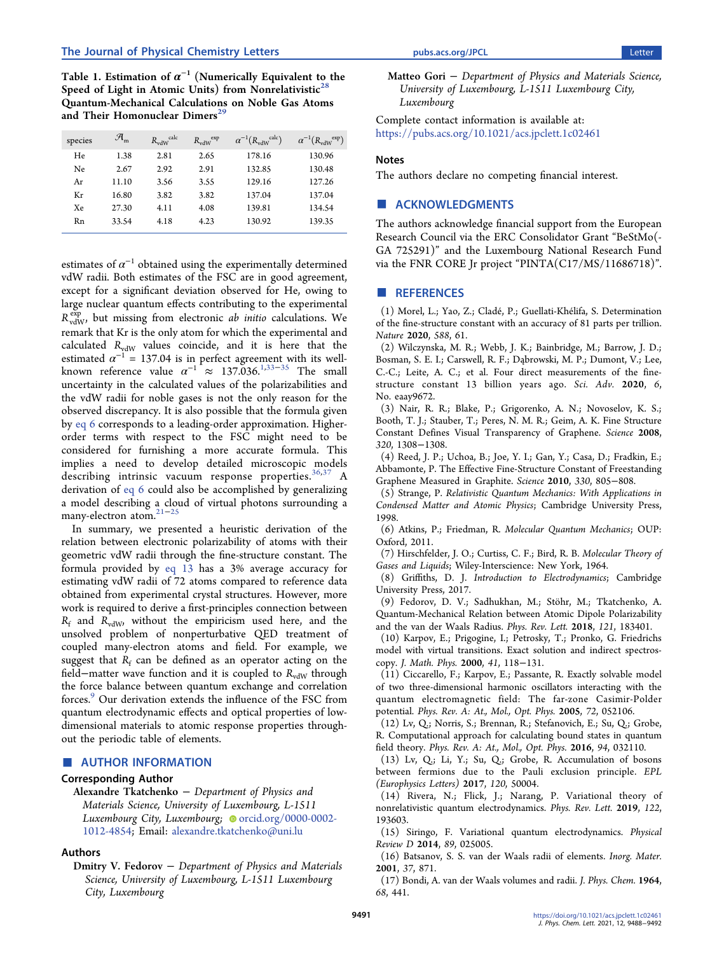<span id="page-3-0"></span>Table 1. Estimation of  $\alpha^{-1}$  (Numerically Equivalent to the Speed of Light in Atomic Units) from Nonrelativistic<sup>2</sup> Quantum-Mechanical Calculations on Noble Gas Atoms and Their Homonuclear Dimers<sup>[29](#page-4-0)</sup>

| species | $\mathcal{A}_{m}$ | $R_{vdW}$ <sup>calc</sup> | $R_{\rm vdW}^{\rm exp}$ | $\alpha^{-1}(R_{\text{vdW}}^{\text{ calc}})$ | $\alpha^{-1}(R_{\text{vdW}}^{\text{exp}})$ |
|---------|-------------------|---------------------------|-------------------------|----------------------------------------------|--------------------------------------------|
| He      | 1.38              | 2.81                      | 2.65                    | 178.16                                       | 130.96                                     |
| Ne.     | 2.67              | 2.92                      | 2.91                    | 132.85                                       | 130.48                                     |
| Ar      | 11.10             | 3.56                      | 3.55                    | 129.16                                       | 127.26                                     |
| Кr      | 16.80             | 3.82                      | 3.82                    | 137.04                                       | 137.04                                     |
| Xe      | 27.30             | 4.11                      | 4.08                    | 139.81                                       | 134.54                                     |
| Rn      | 33.54             | 4.18                      | 4.23                    | 130.92                                       | 139.35                                     |

estimates of  $\alpha^{-1}$  obtained using the experimentally determined vdW radii. Both estimates of the FSC are in good agreement, except for a significant deviation observed for He, owing to large nuclear quantum effects contributing to the experimental  $R_{\text{vdW}}^{\text{exp}}$ , but missing from electronic *ab initio* calculations. We remark that Kr is the only atom for which the experimental and calculated  $R_{vdW}$  values coincide, and it is here that the estimated  $\alpha^{-1}$  = 137.04 is in perfect agreement with its wellknown reference value  $\alpha^{-1} \approx 137.036$ .<sup>1[,33](#page-4-0)–[35](#page-4-0)</sup> The small uncertainty in the calculated values of the polarizabilities and the vdW radii for noble gases is not the only reason for the observed discrepancy. It is also possible that the formula given by [eq 6](#page-1-0) corresponds to a leading-order approximation. Higherorder terms with respect to the FSC might need to be considered for furnishing a more accurate formula. This implies a need to develop detailed microscopic models describing intrinsic vacuum response properties.[36](#page-4-0),[37](#page-4-0) A derivation of [eq 6](#page-1-0) could also be accomplished by generalizing a model describing a cloud of virtual photons surrounding a many-electron atom.[21](#page-4-0)<sup>−</sup>[25](#page-4-0)

In summary, we presented a heuristic derivation of the relation between electronic polarizability of atoms with their geometric vdW radii through the fine-structure constant. The formula provided by [eq 13](#page-2-0) has a 3% average accuracy for estimating vdW radii of 72 atoms compared to reference data obtained from experimental crystal structures. However, more work is required to derive a first-principles connection between  $R_f$  and  $R_{vdW}$ , without the empiricism used here, and the unsolved problem of nonperturbative QED treatment of coupled many-electron atoms and field. For example, we suggest that  $R_f$  can be defined as an operator acting on the field–matter wave function and it is coupled to  $R_{vdW}$  through the force balance between quantum exchange and correlation forces.9 Our derivation extends the influence of the FSC from quantum electrodynamic effects and optical properties of lowdimensional materials to atomic response properties throughout the periodic table of elements.

## ■ AUTHOR INFORMATION

## Corresponding Author

Alexandre Tkatchenko − Department of Physics and Materials Science, University of Luxembourg, L-1511 Luxembourg City, Luxembourg; [orcid.org/0000-0002-](https://orcid.org/0000-0002-1012-4854) [1012-4854](https://orcid.org/0000-0002-1012-4854); Email: [alexandre.tkatchenko@uni.lu](mailto:alexandre.tkatchenko@uni.lu)

#### Authors

Dmitry V. Fedorov − Department of Physics and Materials Science, University of Luxembourg, L-1511 Luxembourg City, Luxembourg

Matteo Gori − Department of Physics and Materials Science, University of Luxembourg, L-1511 Luxembourg City, Luxembourg

Complete contact information is available at: [https://pubs.acs.org/10.1021/acs.jpclett.1c02461](https://pubs.acs.org/doi/10.1021/acs.jpclett.1c02461?ref=pdf)

### **Notes**

The authors declare no competing financial interest.

## ■ ACKNOWLEDGMENTS

The authors acknowledge financial support from the European Research Council via the ERC Consolidator Grant "BeStMo(- GA 725291)" and the Luxembourg National Research Fund via the FNR CORE Jr project "PINTA(C17/MS/11686718)".

#### ■ REFERENCES

(1) Morel, L.; Yao, Z.; Cladé, P.; Guellati-Khélifa, S[. Determination](https://doi.org/10.1038/s41586-020-2964-7) [of the fine-structure constant with an accuracy of 81 parts per trillion.](https://doi.org/10.1038/s41586-020-2964-7) Nature 2020, 588, 61.

(2) Wilczynska, M. R.; Webb, J. K.; Bainbridge, M.; Barrow, J. D.; Bosman, S. E. I.; Carswell, R. F.; Dąbrowski, M. P.; Dumont, V.; Lee, C.-C.; Leite, A. C.; et al. [Four direct measurements of the fine](https://doi.org/10.1126/sciadv.aay9672)[structure constant 13 billion years ago.](https://doi.org/10.1126/sciadv.aay9672) Sci. Adv. 2020, 6, No. eaay9672.

(3) Nair, R. R.; Blake, P.; Grigorenko, A. N.; Novoselov, K. S.; Booth, T. J.; Stauber, T.; Peres, N. M. R.; Geim, A. K[. Fine Structure](https://doi.org/10.1126/science.1156965) [Constant Defines Visual Transparency of Graphene.](https://doi.org/10.1126/science.1156965) Science 2008, 320, 1308−1308.

(4) Reed, J. P.; Uchoa, B.; Joe, Y. I.; Gan, Y.; Casa, D.; Fradkin, E.; Abbamonte, P[. The Effective Fine-Structure Constant of Freestanding](https://doi.org/10.1126/science.1190920) [Graphene Measured in Graphite.](https://doi.org/10.1126/science.1190920) Science 2010, 330, 805−808.

(5) Strange, P. Relativistic Quantum Mechanics: With Applications in Condensed Matter and Atomic Physics; Cambridge University Press, 1998.

(6) Atkins, P.; Friedman, R. Molecular Quantum Mechanics; OUP: Oxford, 2011.

(7) Hirschfelder, J. O.; Curtiss, C. F.; Bird, R. B. Molecular Theory of Gases and Liquids; Wiley-Interscience: New York, 1964.

(8) Griffiths, D. J. Introduction to Electrodynamics; Cambridge University Press, 2017.

(9) Fedorov, D. V.; Sadhukhan, M.; Stöhr, M.; Tkatchenko, A. [Quantum-Mechanical Relation between Atomic Dipole Polarizability](https://doi.org/10.1103/PhysRevLett.121.183401) [and the van der Waals Radius.](https://doi.org/10.1103/PhysRevLett.121.183401) Phys. Rev. Lett. 2018, 121, 183401.

(10) Karpov, E.; Prigogine, I.; Petrosky, T.; Pronko, G. [Friedrichs](https://doi.org/10.1063/1.533125) [model with virtual transitions. Exact solution and indirect spectros](https://doi.org/10.1063/1.533125)[copy.](https://doi.org/10.1063/1.533125) J. Math. Phys. 2000, 41, 118−131.

(11) Ciccarello, F.; Karpov, E.; Passante, R[. Exactly solvable model](https://doi.org/10.1103/PhysRevA.72.052106) [of two three-dimensional harmonic oscillators interacting with the](https://doi.org/10.1103/PhysRevA.72.052106) [quantum electromagnetic field: The far-zone Casimir-Polder](https://doi.org/10.1103/PhysRevA.72.052106) [potential.](https://doi.org/10.1103/PhysRevA.72.052106) Phys. Rev. A: At., Mol., Opt. Phys. 2005, 72, 052106.

(12) Lv, Q.; Norris, S.; Brennan, R.; Stefanovich, E.; Su, Q.; Grobe, R. [Computational approach for calculating bound states in quantum](https://doi.org/10.1103/PhysRevA.94.032110) [field theory.](https://doi.org/10.1103/PhysRevA.94.032110) Phys. Rev. A: At., Mol., Opt. Phys. 2016, 94, 032110.

(13) Lv, Q.; Li, Y.; Su, Q.; Grobe, R. [Accumulation of bosons](https://doi.org/10.1209/0295-5075/120/50004) [between fermions due to the Pauli exclusion principle.](https://doi.org/10.1209/0295-5075/120/50004) EPL (Europhysics Letters) 2017, 120, 50004.

(14) Rivera, N.; Flick, J.; Narang, P[. Variational theory of](https://doi.org/10.1103/PhysRevLett.122.193603) [nonrelativistic quantum electrodynamics.](https://doi.org/10.1103/PhysRevLett.122.193603) Phys. Rev. Lett. 2019, 122, 193603.

(15) Siringo, F[. Variational quantum electrodynamics.](https://doi.org/10.1103/PhysRevD.89.025005) Physical Review D 2014, 89, 025005.

(16) Batsanov, S. S[. van der Waals radii of elements.](https://doi.org/10.1023/A:1011625728803) Inorg. Mater. 2001, 37, 871.

(17) Bondi, A. [van der Waals volumes and radii.](https://doi.org/10.1021/j100785a001?urlappend=%3Fref%3DPDF&jav=VoR&rel=cite-as) J. Phys. Chem. 1964, 68, 441.